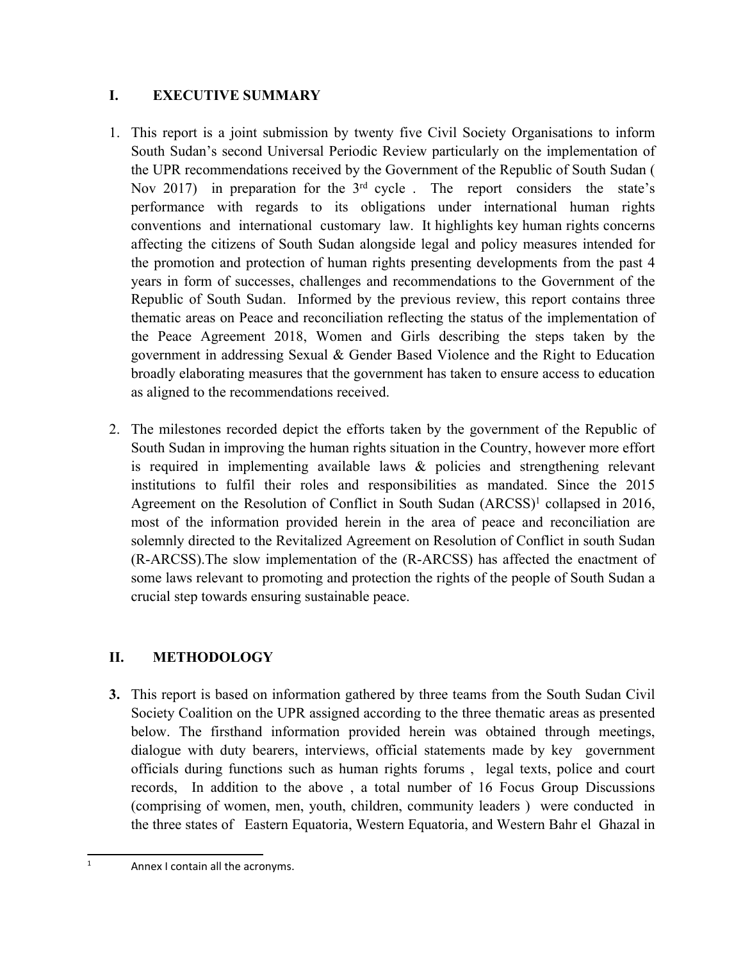# **I. EXECUTIVE SUMMARY**

- 1. This repor<sup>t</sup> is <sup>a</sup> joint submission by twenty five Civil Society Organisations to inform South Sudan'<sup>s</sup> second Universal Periodic Review particularly on the implementation of the UPR recommendations received by the Government of the Republic of South Sudan ( Nov 2017) in preparation for the  $3<sup>rd</sup>$  cycle. The report considers the state's performance with regards to its obligations under international human rights conventions and international customary law. It highlights key human rights concerns affecting the citizens of South Sudan alongside legal and policy measures intended for the promotion and protection of human rights presenting developments from the pas<sup>t</sup> 4 years in form of successes, challenges and recommendations to the Government of the Republic of South Sudan. Informed by the previous review, this repor<sup>t</sup> contains three thematic areas on Peace and reconciliation reflecting the status of the implementation of the Peace Agreement 2018, Women and Girls describing the steps taken by the governmen<sup>t</sup> in addressing Sexual & Gender Based Violence and the Right to Education broadly elaborating measures that the governmen<sup>t</sup> has taken to ensure access to education as aligned to the recommendations received.
- 2. The milestones recorded depict the efforts taken by the governmen<sup>t</sup> of the Republic of South Sudan in improving the human rights situation in the Country, however more effort is required in implementing available laws & policies and strengthening relevant institutions to fulfil their roles and responsibilities as mandated. Since the 2015 Agreement on the Resolution of Conflict in South Sudan (ARCSS) 1 collapsed in 2016, most of the information provided herein in the area of peace and reconciliation are solemnly directed to the Revitalized Agreement on Resolution of Conflict in south Sudan (R-ARCSS).The slow implementation of the (R-ARCSS) has affected the enactment of some laws relevant to promoting and protection the rights of the people of South Sudan <sup>a</sup> crucial step towards ensuring sustainable peace.

# **II. METHODOLOGY**

**3.** This repor<sup>t</sup> is based on information gathered by three teams from the South Sudan Civil Society Coalition on the UPR assigned according to the three thematic areas as presented below. The firsthand information provided herein was obtained through meetings, dialogue with duty bearers, interviews, official statements made by key governmen<sup>t</sup> officials during functions such as human rights forums , legal texts, police and court records, In addition to the above , <sup>a</sup> total number of 16 Focus Group Discussions (comprising of women, men, youth, children, community leaders ) were conducted in the three states of Eastern Equatoria, Western Equatoria, and Western Bahr el Ghazal in

<sup>1</sup> Annex I contain all the acronyms.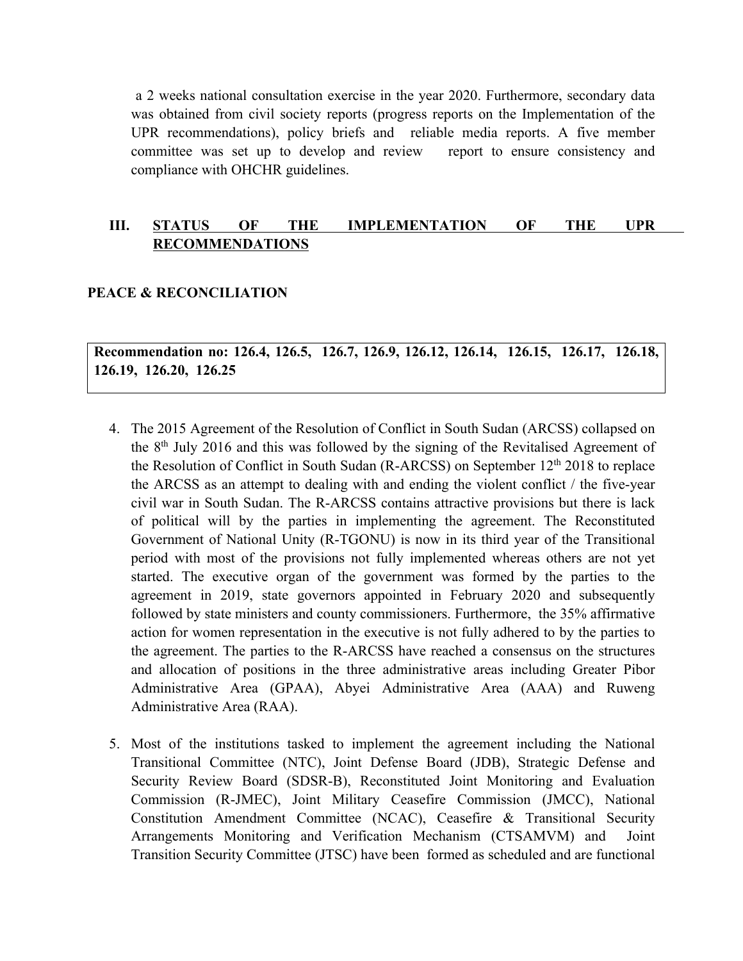<sup>a</sup> 2 weeks national consultation exercise in the year 2020. Furthermore, secondary data was obtained from civil society reports (progress reports on the Implementation of the UPR recommendations), policy briefs and reliable media reports. A five member committee was set up to develop and review repor<sup>t</sup> to ensure consistency and compliance with OHCHR guidelines.

### **III. STATUS OF THE IMPLEMENTATION OF THE UPR RECOMMENDATIONS**

### **PEACE & RECONCILIATION**

**Recommendation no: 126.4, 126.5, 126.7, 126.9, 126.12, 126.14, 126.15, 126.17, 126.18, 126.19, 126.20, 126.25**

- 4. The 2015 Agreement of the Resolution of Conflict in South Sudan (ARCSS) collapsed on the 8<sup>th</sup> July 2016 and this was followed by the signing of the Revitalised Agreement of the Resolution of Conflict in South Sudan (R-ARCSS) on September 12<sup>th</sup> 2018 to replace the ARCSS as an attempt to dealing with and ending the violent conflict / the five-year civil war in South Sudan. The R-ARCSS contains attractive provisions but there is lack of political will by the parties in implementing the agreement. The Reconstituted Government of National Unity (R-TGONU) is now in its third year of the Transitional period with most of the provisions not fully implemented whereas others are not ye<sup>t</sup> started. The executive organ of the governmen<sup>t</sup> was formed by the parties to the agreemen<sup>t</sup> in 2019, state governors appointed in February 2020 and subsequently followed by state ministers and county commissioners. Furthermore, the 35% affirmative action for women representation in the executive is not fully adhered to by the parties to the agreement. The parties to the R-ARCSS have reached <sup>a</sup> consensus on the structures and allocation of positions in the three administrative areas including Greater Pibor Administrative Area (GPAA), Abyei Administrative Area (AAA) and Ruweng Administrative Area (RAA).
- 5. Most of the institutions tasked to implement the agreemen<sup>t</sup> including the National Transitional Committee (NTC), Joint Defense Board (JDB), Strategic Defense and Security Review Board (SDSR-B), Reconstituted Joint Monitoring and Evaluation Commission (R-JMEC), Joint Military Ceasefire Commission (JMCC), National Constitution Amendment Committee (NCAC), Ceasefire & Transitional Security Arrangements Monitoring and Verification Mechanism (CTSAMVM) and Joint Transition Security Committee (JTSC) have been formed as scheduled and are functional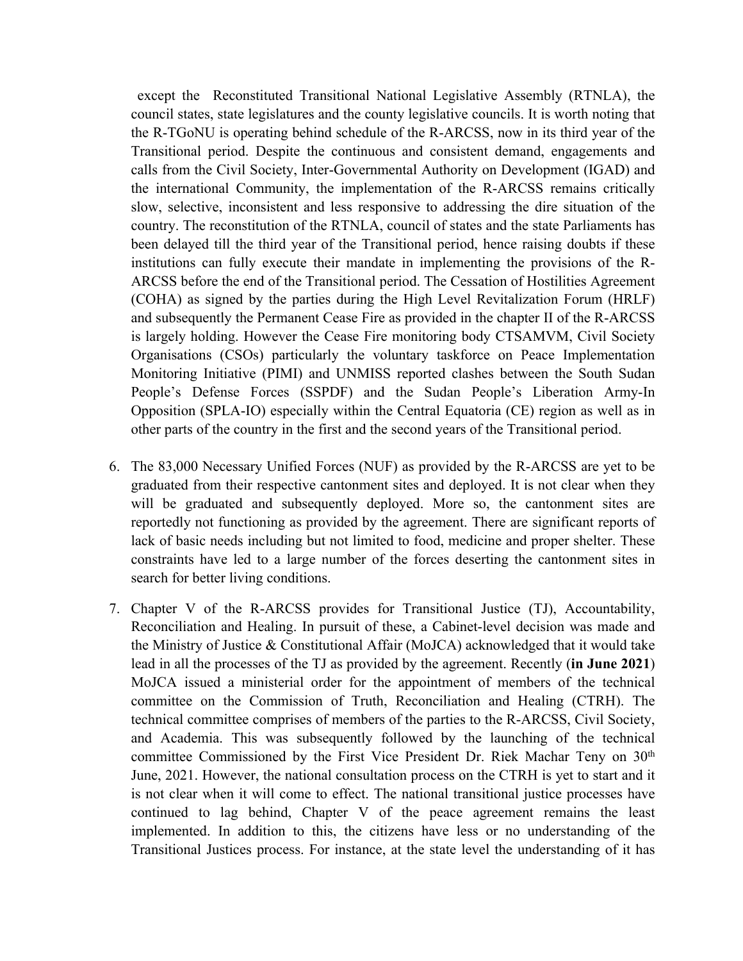excep<sup>t</sup> the Reconstituted Transitional National Legislative Assembly (RTNLA), the council states, state legislatures and the county legislative councils. It is worth noting that the R-TGoNU is operating behind schedule of the R-ARCSS, now in its third year of the Transitional period. Despite the continuous and consistent demand, engagements and calls from the Civil Society, Inter-Governmental Authority on Development (IGAD) and the international Community, the implementation of the R-ARCSS remains critically slow, selective, inconsistent and less responsive to addressing the dire situation of the country. The reconstitution of the RTNLA, council of states and the state Parliaments has been delayed till the third year of the Transitional period, hence raising doubts if these institutions can fully execute their mandate in implementing the provisions of the R-ARCSS before the end of the Transitional period. The Cessation of Hostilities Agreement (COHA) as signed by the parties during the High Level Revitalization Forum (HRLF) and subsequently the Permanent Cease Fire as provided in the chapter II of the R-ARCSS is largely holding. However the Cease Fire monitoring body CTSAMVM, Civil Society Organisations (CSOs) particularly the voluntary taskforce on Peace Implementation Monitoring Initiative (PIMI) and UNMISS reported clashes between the South Sudan People'<sup>s</sup> Defense Forces (SSPDF) and the Sudan People'<sup>s</sup> Liberation Army-In Opposition (SPLA-IO) especially within the Central Equatoria (CE) region as well as in other parts of the country in the first and the second years of the Transitional period.

- 6. The 83,000 Necessary Unified Forces (NUF) as provided by the R-ARCSS are ye<sup>t</sup> to be graduated from their respective cantonment sites and deployed. It is not clear when they will be graduated and subsequently deployed. More so, the cantonment sites are reportedly not functioning as provided by the agreement. There are significant reports of lack of basic needs including but not limited to food, medicine and proper shelter. These constraints have led to <sup>a</sup> large number of the forces deserting the cantonment sites in search for better living conditions.
- 7. Chapter V of the R-ARCSS provides for Transitional Justice (TJ), Accountability, Reconciliation and Healing. In pursuit of these, <sup>a</sup> Cabinet-level decision was made and the Ministry of Justice & Constitutional Affair (MoJCA) acknowledged that it would take lead in all the processes of the TJ as provided by the agreement. Recently (**in June 2021**) MoJCA issued <sup>a</sup> ministerial order for the appointment of members of the technical committee on the Commission of Truth, Reconciliation and Healing (CTRH). The technical committee comprises of members of the parties to the R-ARCSS, Civil Society, and Academia. This was subsequently followed by the launching of the technical committee Commissioned by the First Vice President Dr. Riek Machar Teny on 30<sup>th</sup> June, 2021. However, the national consultation process on the CTRH is ye<sup>t</sup> to start and it is not clear when it will come to effect. The national transitional justice processes have continued to lag behind, Chapter V of the peace agreemen<sup>t</sup> remains the least implemented. In addition to this, the citizens have less or no understanding of the Transitional Justices process. For instance, at the state level the understanding of it has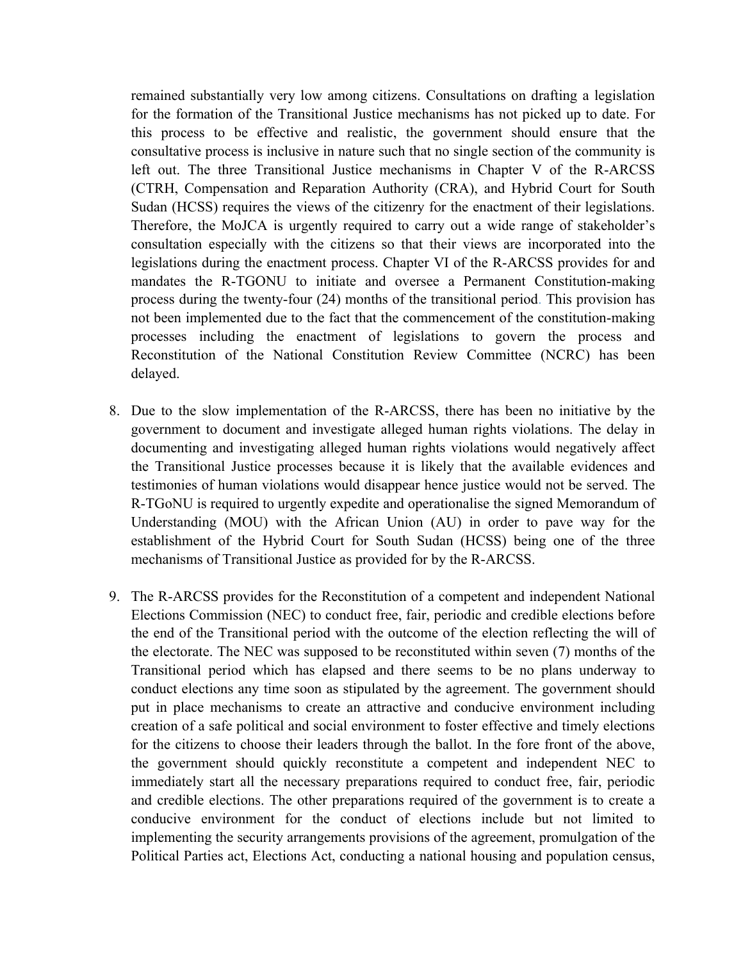remained substantially very low among citizens. Consultations on drafting <sup>a</sup> legislation for the formation of the Transitional Justice mechanisms has not picked up to date. For this process to be effective and realistic, the governmen<sup>t</sup> should ensure that the consultative process is inclusive in nature such that no single section of the community is left out. The three Transitional Justice mechanisms in Chapter V of the R-ARCSS (CTRH, Compensation and Reparation Authority (CRA), and Hybrid Court for South Sudan (HCSS) requires the views of the citizenry for the enactment of their legislations. Therefore, the MoJCA is urgently required to carry out <sup>a</sup> wide range of stakeholder'<sup>s</sup> consultation especially with the citizens so that their views are incorporated into the legislations during the enactment process. Chapter VI of the R-ARCSS provides for and mandates the R-TGONU to initiate and oversee <sup>a</sup> Permanent Constitution-making process during the twenty-four (24) months of the transitional period. This provision has not been implemented due to the fact that the commencement of the constitution-making processes including the enactment of legislations to govern the process and Reconstitution of the National Constitution Review Committee (NCRC) has been delayed.

- 8. Due to the slow implementation of the R-ARCSS, there has been no initiative by the governmen<sup>t</sup> to document and investigate alleged human rights violations. The delay in documenting and investigating alleged human rights violations would negatively affect the Transitional Justice processes because it is likely that the available evidences and testimonies of human violations would disappear hence justice would not be served. The R-TGoNU is required to urgently expedite and operationalise the signed Memorandum of Understanding (MOU) with the African Union (AU) in order to pave way for the establishment of the Hybrid Court for South Sudan (HCSS) being one of the three mechanisms of Transitional Justice as provided for by the R-ARCSS.
- 9. The R-ARCSS provides for the Reconstitution of <sup>a</sup> competent and independent National Elections Commission (NEC) to conduct free, fair, periodic and credible elections before the end of the Transitional period with the outcome of the election reflecting the will of the electorate. The NEC was supposed to be reconstituted within seven (7) months of the Transitional period which has elapsed and there seems to be no plans underway to conduct elections any time soon as stipulated by the agreement. The governmen<sup>t</sup> should pu<sup>t</sup> in place mechanisms to create an attractive and conducive environment including creation of <sup>a</sup> safe political and social environment to foster effective and timely elections for the citizens to choose their leaders through the ballot. In the fore front of the above, the governmen<sup>t</sup> should quickly reconstitute <sup>a</sup> competent and independent NEC to immediately start all the necessary preparations required to conduct free, fair, periodic and credible elections. The other preparations required of the governmen<sup>t</sup> is to create <sup>a</sup> conducive environment for the conduct of elections include but not limited to implementing the security arrangements provisions of the agreement, promulgation of the Political Parties act, Elections Act, conducting <sup>a</sup> national housing and population census,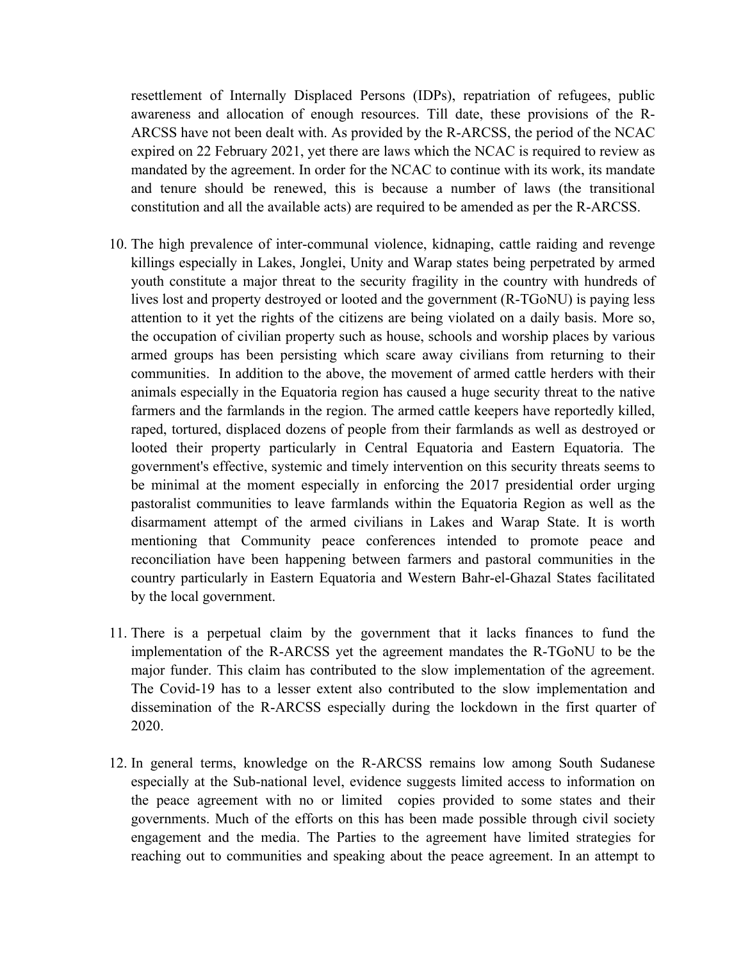resettlement of Internally Displaced Persons (IDPs), repatriation of refugees, public awareness and allocation of enough resources. Till date, these provisions of the R-ARCSS have not been dealt with. As provided by the R-ARCSS, the period of the NCAC expired on 22 February 2021, ye<sup>t</sup> there are laws which the NCAC is required to review as mandated by the agreement. In order for the NCAC to continue with its work, its mandate and tenure should be renewed, this is because <sup>a</sup> number of laws (the transitional constitution and all the available acts) are required to be amended as per the R-ARCSS.

- 10. The high prevalence of inter-communal violence, kidnaping, cattle raiding and revenge killings especially in Lakes, Jonglei, Unity and Warap states being perpetrated by armed youth constitute <sup>a</sup> major threat to the security fragility in the country with hundreds of lives lost and property destroyed or looted and the governmen<sup>t</sup> (R-TGoNU) is paying less attention to it ye<sup>t</sup> the rights of the citizens are being violated on <sup>a</sup> daily basis. More so, the occupation of civilian property such as house, schools and worship places by various armed groups has been persisting which scare away civilians from returning to their communities. In addition to the above, the movement of armed cattle herders with their animals especially in the Equatoria region has caused <sup>a</sup> huge security threat to the native farmers and the farmlands in the region. The armed cattle keepers have reportedly killed, raped, tortured, displaced dozens of people from their farmlands as well as destroyed or looted their property particularly in Central Equatoria and Eastern Equatoria. The government's effective, systemic and timely intervention on this security threats seems to be minimal at the moment especially in enforcing the 2017 presidential order urging pastoralist communities to leave farmlands within the Equatoria Region as well as the disarmament attempt of the armed civilians in Lakes and Warap State. It is worth mentioning that Community peace conferences intended to promote peace and reconciliation have been happening between farmers and pastoral communities in the country particularly in Eastern Equatoria and Western Bahr-el-Ghazal States facilitated by the local government.
- 11. There is <sup>a</sup> perpetual claim by the governmen<sup>t</sup> that it lacks finances to fund the implementation of the R-ARCSS ye<sup>t</sup> the agreemen<sup>t</sup> mandates the R-TGoNU to be the major funder. This claim has contributed to the slow implementation of the agreement. The Covid-19 has to <sup>a</sup> lesser extent also contributed to the slow implementation and dissemination of the R-ARCSS especially during the lockdown in the first quarter of 2020.
- 12. In general terms, knowledge on the R-ARCSS remains low among South Sudanese especially at the Sub-national level, evidence suggests limited access to information on the peace agreemen<sup>t</sup> with no or limited copies provided to some states and their governments. Much of the efforts on this has been made possible through civil society engagemen<sup>t</sup> and the media. The Parties to the agreemen<sup>t</sup> have limited strategies for reaching out to communities and speaking about the peace agreement. In an attempt to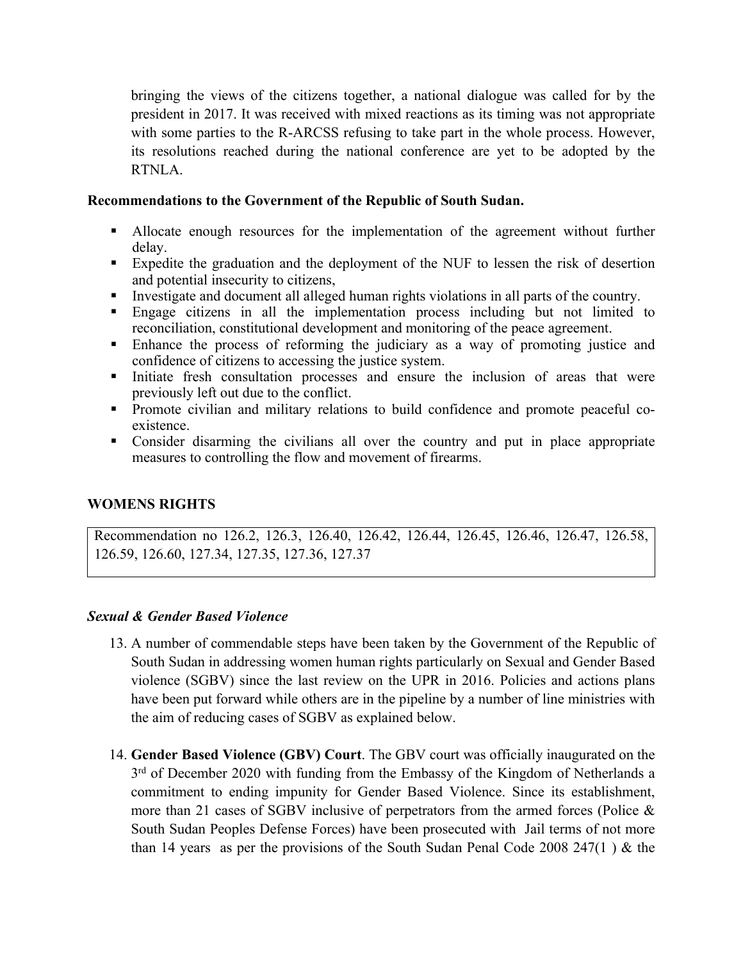bringing the views of the citizens together, <sup>a</sup> national dialogue was called for by the president in 2017. It was received with mixed reactions as its timing was not appropriate with some parties to the R-ARCSS refusing to take part in the whole process. However, its resolutions reached during the national conference are ye<sup>t</sup> to be adopted by the RTNLA.

### **Recommendations to the Government of the Republic of South Sudan.**

- Allocate enough resources for the implementation of the agreemen<sup>t</sup> without further delay.
- Expedite the graduation and the deployment of the NUF to lessen the risk of desertion and potential insecurity to citizens,
- Investigate and document all alleged human rights violations in all parts of the country.
- Engage citizens in all the implementation process including but not limited to reconciliation, constitutional development and monitoring of the peace agreement.
- Enhance the process of reforming the judiciary as <sup>a</sup> way of promoting justice and confidence of citizens to accessing the justice system.
- Initiate fresh consultation processes and ensure the inclusion of areas that were previously left out due to the conflict.
- Promote civilian and military relations to build confidence and promote peaceful coexistence.
- Consider disarming the civilians all over the country and pu<sup>t</sup> in place appropriate measures to controlling the flow and movement of firearms.

### **WOMENS RIGHTS**

Recommendation no 126.2, 126.3, 126.40, 126.42, 126.44, 126.45, 126.46, 126.47, 126.58, 126.59, 126.60, 127.34, 127.35, 127.36, 127.37

#### *Sexual & Gender Based Violence*

- 13. Anumber of commendable steps have been taken by the Government of the Republic of South Sudan in addressing women human rights particularly on Sexual and Gender Based violence (SGBV) since the last review on the UPR in 2016. Policies and actions plans have been pu<sup>t</sup> forward while others are in the pipeline by <sup>a</sup> number of line ministries with the aim of reducing cases of SGBV as explained below.
- 14. **Gender Based Violence (GBV) Court**. The GBV court was officially inaugurated on the 3<sup>rd</sup> of December 2020 with funding from the Embassy of the Kingdom of Netherlands a commitment to ending impunity for Gender Based Violence. Since its establishment, more than 21 cases of SGBV inclusive of perpetrators from the armed forces (Police & South Sudan Peoples Defense Forces) have been prosecuted with Jail terms of not more than 14 years as per the provisions of the South Sudan Penal Code 2008 247(1) & the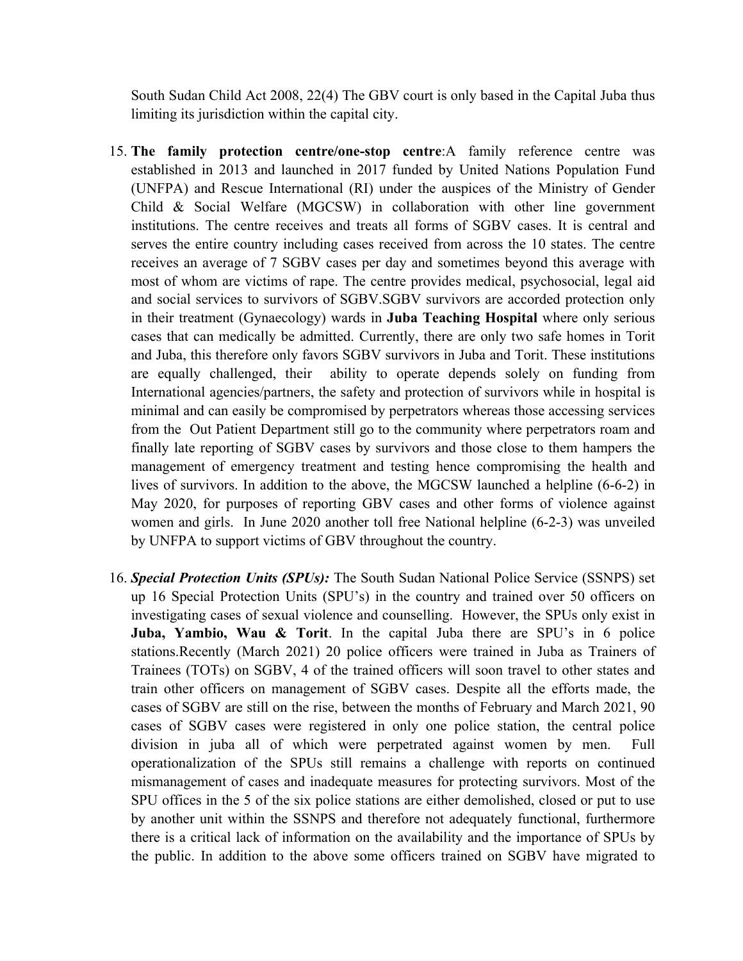South Sudan Child Act 2008, 22(4) The GBV court is only based in the Capital Juba thus limiting its jurisdiction within the capital city.

- 15. **The family protection centre/one-stop centre**:A family reference centre was established in 2013 and launched in 2017 funded by United Nations Population Fund (UNFPA) and Rescue International (RI) under the auspices of the Ministry of Gender Child & Social Welfare (MGCSW) in collaboration with other line governmen<sup>t</sup> institutions. The centre receives and treats all forms of SGBV cases. It is central and serves the entire country including cases received from across the 10 states. The centre receives an average of 7 SGBV cases per day and sometimes beyond this average with most of whom are victims of rape. The centre provides medical, psychosocial, legal aid and social services to survivors of SGBV.SGBV survivors are accorded protection only in their treatment (Gynaecology) wards in **Juba Teaching Hospital** where only serious cases that can medically be admitted. Currently, there are only two safe homes in Torit and Juba, this therefore only favors SGBV survivors in Juba and Torit. These institutions are equally challenged, their ability to operate depends solely on funding from International agencies/partners, the safety and protection of survivors while in hospital is minimal and can easily be compromised by perpetrators whereas those accessing services from the Out Patient Department still go to the community where perpetrators roam and finally late reporting of SGBV cases by survivors and those close to them hampers the managemen<sup>t</sup> of emergency treatment and testing hence compromising the health and lives of survivors. In addition to the above, the MGCSW launched <sup>a</sup> helpline (6-6-2) in May 2020, for purposes of reporting GBV cases and other forms of violence against women and girls. In June 2020 another toll free National helpline (6-2-3) was unveiled by UNFPA to suppor<sup>t</sup> victims of GBV throughout the country.
- 16. *Special Protection Units (SPUs):* The South Sudan National Police Service (SSNPS) set up 16 Special Protection Units (SPU's) in the country and trained over 50 officers on investigating cases of sexual violence and counselling. However, the SPUs only exist in **Juba, Yambio, Wau & Torit**. In the capital Juba there are SPU'<sup>s</sup> in 6 police stations.Recently (March 2021) 20 police officers were trained in Juba as Trainers of Trainees (TOTs) on SGBV, 4 of the trained officers will soon travel to other states and train other officers on managemen<sup>t</sup> of SGBV cases. Despite all the efforts made, the cases of SGBV are still on the rise, between the months of February and March 2021, 90 cases of SGBV cases were registered in only one police station, the central police division in juba all of which were perpetrated against women by men. Full operationalization of the SPUs still remains <sup>a</sup> challenge with reports on continued mismanagement of cases and inadequate measures for protecting survivors. Most of the SPU offices in the 5 of the six police stations are either demolished, closed or pu<sup>t</sup> to use by another unit within the SSNPS and therefore not adequately functional, furthermore there is <sup>a</sup> critical lack of information on the availability and the importance of SPUs by the public. In addition to the above some officers trained on SGBV have migrated to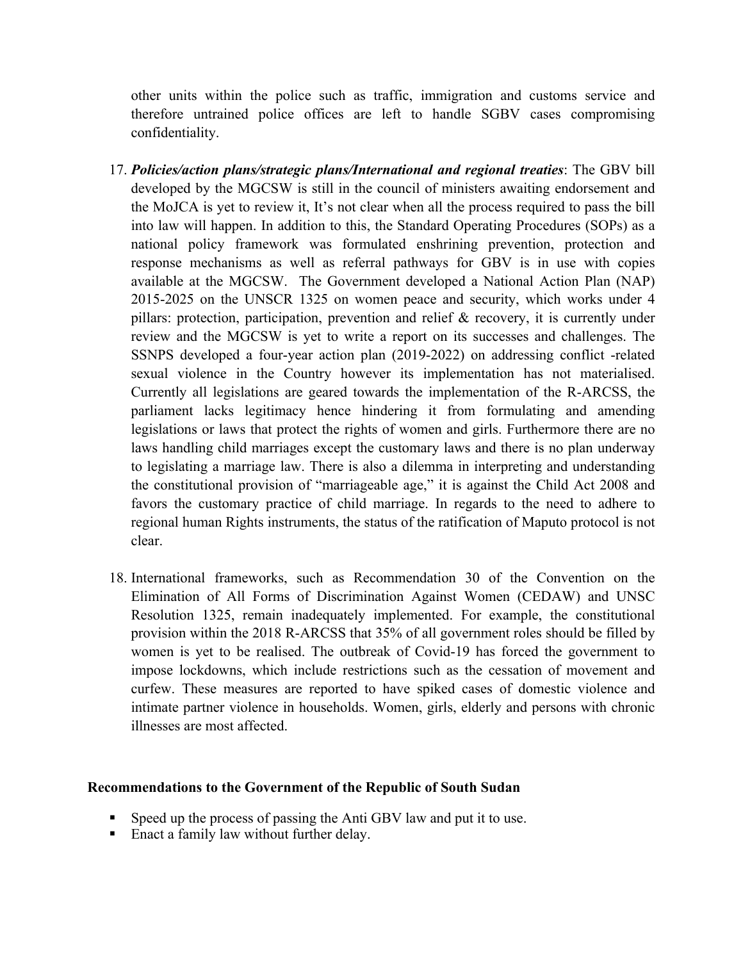other units within the police such as traffic, immigration and customs service and therefore untrained police offices are left to handle SGBV cases compromising confidentiality.

- 17. *Policies/action plans/strategic plans/International and regional treaties*: The GBV bill developed by the MGCSW is still in the council of ministers awaiting endorsement and the MoJCA is ye<sup>t</sup> to review it, It'<sup>s</sup> not clear when all the process required to pass the bill into law will happen. In addition to this, the Standard Operating Procedures (SOPs) as <sup>a</sup> national policy framework was formulated enshrining prevention, protection and response mechanisms as well as referral pathways for GBV is in use with copies available at the MGCSW. The Government developed <sup>a</sup> National Action Plan (NAP) 2015-2025 on the UNSCR 1325 on women peace and security, which works under 4 pillars: protection, participation, prevention and relief & recovery, it is currently under review and the MGCSW is ye<sup>t</sup> to write <sup>a</sup> repor<sup>t</sup> on its successes and challenges. The SSNPS developed <sup>a</sup> four-year action plan (2019-2022) on addressing conflict -related sexual violence in the Country however its implementation has not materialised. Currently all legislations are geared towards the implementation of the R-ARCSS, the parliament lacks legitimacy hence hindering it from formulating and amending legislations or laws that protect the rights of women and girls. Furthermore there are no laws handling child marriages excep<sup>t</sup> the customary laws and there is no plan underway to legislating <sup>a</sup> marriage law. There is also <sup>a</sup> dilemma in interpreting and understanding the constitutional provision of "marriageable age," it is against the Child Act 2008 and favors the customary practice of child marriage. In regards to the need to adhere to regional human Rights instruments, the status of the ratification of Maputo protocol is not clear.
- 18. International frameworks, such as Recommendation 30 of the Convention on the Elimination of All Forms of Discrimination Against Women (CEDAW) and UNSC Resolution 1325, remain inadequately implemented. For example, the constitutional provision within the 2018 R-ARCSS that 35% of all governmen<sup>t</sup> roles should be filled by women is ye<sup>t</sup> to be realised. The outbreak of Covid-19 has forced the governmen<sup>t</sup> to impose lockdowns, which include restrictions such as the cessation of movement and curfew. These measures are reported to have spiked cases of domestic violence and intimate partner violence in households. Women, girls, elderly and persons with chronic illnesses are most affected.

#### **Recommendations to the Government of the Republic of South Sudan**

- Speed up the process of passing the Anti GBV law and put it to use.
- Enact a family law without further delay.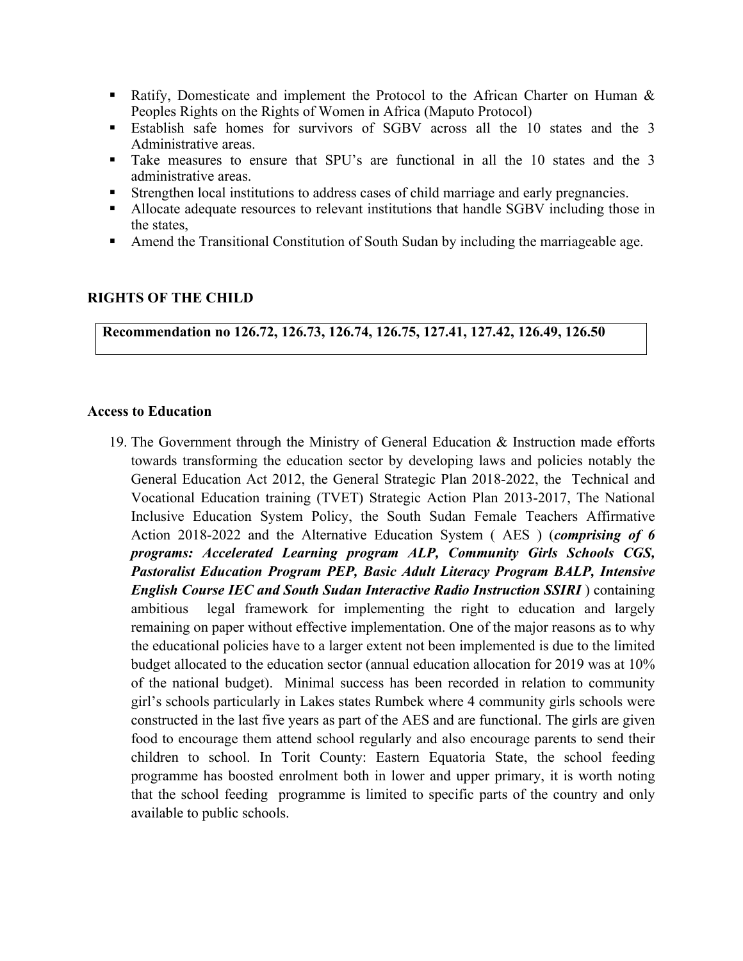- **Examplement Incore is a Theory Charter Charter in Human &** Ratify, Domesticate and implement the Protocol to the African Charter on Human & Peoples Rights on the Rights of Women in Africa (Maputo Protocol)
- Establish safe homes for survivors of SGBV across all the 10 states and the 3 Administrative areas.
- Take measures to ensure that SPU'<sup>s</sup> are functional in all the 10 states and the 3 administrative areas.
- Strengthen local institutions to address cases of child marriage and early pregnancies.
- Allocate adequate resources to relevant institutions that handle SGBV including those in the states,
- **Amend the Transitional Constitution of South Sudan by including the marriageable age.**

#### **RIGHTS OF THE CHILD**

**Recommendation no 126.72, 126.73, 126.74, 126.75, 127.41, 127.42, 126.49, 126.50**

#### **Access to Education**

19. The Government through the Ministry of General Education & Instruction made efforts towards transforming the education sector by developing laws and policies notably the General Education Act 2012, the General Strategic Plan 2018-2022, the Technical and Vocational Education training (TVET) Strategic Action Plan 2013-2017, The National Inclusive Education System Policy, the South Sudan Female Teachers Affirmative Action 2018-2022 and the Alternative Education System ( AES ) (*comprising of 6 programs: Accelerated Learning program ALP, Community Girls Schools CGS, Pastoralist Education Program PEP, Basic Adult Literacy Program BALP, Intensive English Course IEC and South Sudan Interactive Radio Instruction SSIRI* ) containing ambitious legal framework for implementing the right to education and largely remaining on paper without effective implementation. One of the major reasons as to why the educational policies have to <sup>a</sup> larger extent not been implemented is due to the limited budget allocated to the education sector (annual education allocation for 2019 was at 10% of the national budget). Minimal success has been recorded in relation to community girl'<sup>s</sup> schools particularly in Lakes states Rumbek where 4 community girls schools were constructed in the last five years as par<sup>t</sup> of the AES and are functional. The girls are given food to encourage them attend school regularly and also encourage parents to send their children to school. In Torit County: Eastern Equatoria State, the school feeding programme has boosted enrolment both in lower and upper primary, it is worth noting that the school feeding programme is limited to specific parts of the country and only available to public schools.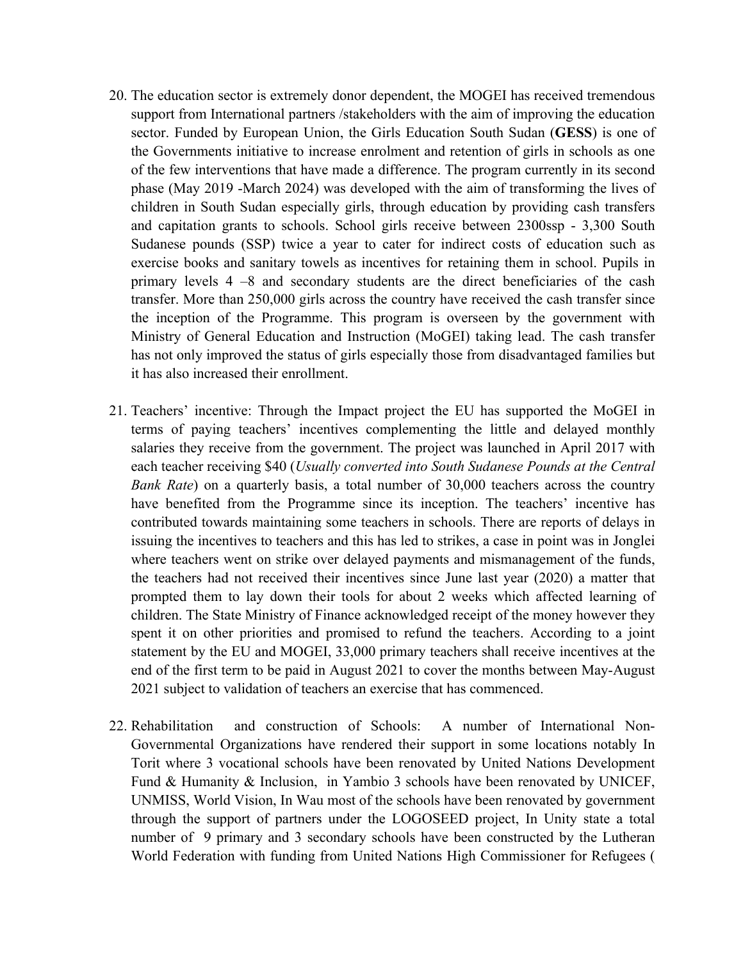- 20. The education sector is extremely donor dependent, the MOGEI has received tremendous suppor<sup>t</sup> from International partners /stakeholders with the aim of improving the education sector. Funded by European Union, the Girls Education South Sudan (**GESS**) is one of the Governments initiative to increase enrolment and retention of girls in schools as one of the few interventions that have made <sup>a</sup> difference. The program currently in its second phase (May 2019 -March 2024) was developed with the aim of transforming the lives of children in South Sudan especially girls, through education by providing cash transfers and capitation grants to schools. School girls receive between 2300ssp - 3,300 South Sudanese pounds (SSP) twice <sup>a</sup> year to cater for indirect costs of education such as exercise books and sanitary towels as incentives for retaining them in school. Pupils in primary levels 4 –8 and secondary students are the direct beneficiaries of the cash transfer. More than 250,000 girls across the country have received the cash transfer since the inception of the Programme. This program is overseen by the governmen<sup>t</sup> with Ministry of General Education and Instruction (MoGEI) taking lead. The cash transfer has not only improved the status of girls especially those from disadvantaged families but it has also increased their enrollment.
- 21. Teachers' incentive: Through the Impact project the EU has supported the MoGEI in terms of paying teachers' incentives complementing the little and delayed monthly salaries they receive from the government. The project was launched in April 2017 with each teacher receiving \$40 (*Usually converted into South Sudanese Pounds at the Central Bank Rate*) on <sup>a</sup> quarterly basis, <sup>a</sup> total number of 30,000 teachers across the country have benefited from the Programme since its inception. The teachers' incentive has contributed towards maintaining some teachers in schools. There are reports of delays in issuing the incentives to teachers and this has led to strikes, <sup>a</sup> case in point was in Jonglei where teachers went on strike over delayed payments and mismanagement of the funds, the teachers had not received their incentives since June last year (2020) <sup>a</sup> matter that prompted them to lay down their tools for about 2 weeks which affected learning of children. The State Ministry of Finance acknowledged receipt of the money however they spen<sup>t</sup> it on other priorities and promised to refund the teachers. According to <sup>a</sup> joint statement by the EU and MOGEI, 33,000 primary teachers shall receive incentives at the end of the first term to be paid in August 2021 to cover the months between May-August 2021 subject to validation of teachers an exercise that has commenced.
- 22. Rehabilitation and construction of Schools: A number of International Non-Governmental Organizations have rendered their suppor<sup>t</sup> in some locations notably In Torit where 3 vocational schools have been renovated by United Nations Development Fund & Humanity & Inclusion, in Yambio 3 schools have been renovated by UNICEF, UNMISS, World Vision, In Wau most of the schools have been renovated by governmen<sup>t</sup> through the suppor<sup>t</sup> of partners under the LOGOSEED project, In Unity state <sup>a</sup> total number of 9 primary and 3 secondary schools have been constructed by the Lutheran World Federation with funding from United Nations High Commissioner for Refugees (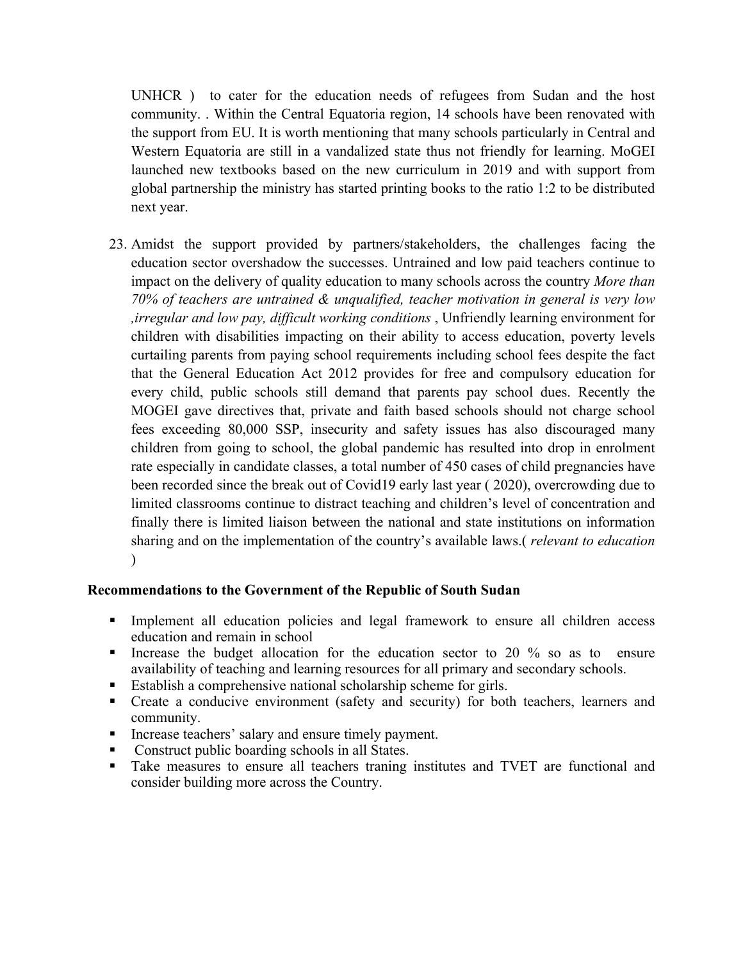UNHCR ) to cater for the education needs of refugees from Sudan and the host community. . Within the Central Equatoria region, 14 schools have been renovated with the suppor<sup>t</sup> from EU. It is worth mentioning that many schools particularly in Central and Western Equatoria are still in <sup>a</sup> vandalized state thus not friendly for learning. MoGEI launched new textbooks based on the new curriculum in 2019 and with suppor<sup>t</sup> from global partnership the ministry has started printing books to the ratio 1:2 to be distributed next year.

23. Amidst the suppor<sup>t</sup> provided by partners/stakeholders, the challenges facing the education sector overshadow the successes. Untrained and low paid teachers continue to impact on the delivery of quality education to many schools across the country *More than 70% of teachers are untrained & unqualified, teacher motivation in general is very low ,irregular and low pay, difficult working conditions* , Unfriendly learning environment for children with disabilities impacting on their ability to access education, poverty levels curtailing parents from paying school requirements including school fees despite the fact that the General Education Act 2012 provides for free and compulsory education for every child, public schools still demand that parents pay school dues. Recently the MOGEI gave directives that, private and faith based schools should not charge school fees exceeding 80,000 SSP, insecurity and safety issues has also discouraged many children from going to school, the global pandemic has resulted into drop in enrolment rate especially in candidate classes, <sup>a</sup> total number of 450 cases of child pregnancies have been recorded since the break out of Covid19 early last year ( 2020), overcrowding due to limited classrooms continue to distract teaching and children'<sup>s</sup> level of concentration and finally there is limited liaison between the national and state institutions on information sharing and on the implementation of the country'<sup>s</sup> available laws.( *relevant to education* )

#### **Recommendations to the Government of the Republic of South Sudan**

- Implement all education policies and legal framework to ensure all children access education and remain in school
- Increase the budget allocation for the education sector to 20  $\%$  so as to ensure availability of teaching and learning resources for all primary and secondary schools.
- Establish <sup>a</sup> comprehensive national scholarship scheme for girls.
- Create <sup>a</sup> conducive environment (safety and security) for both teachers, learners and community.
- Increase teachers' salary and ensure timely payment.
- Г Construct public boarding schools in all States.
- Take measures to ensure all teachers traning institutes and TVET are functional and consider building more across the Country.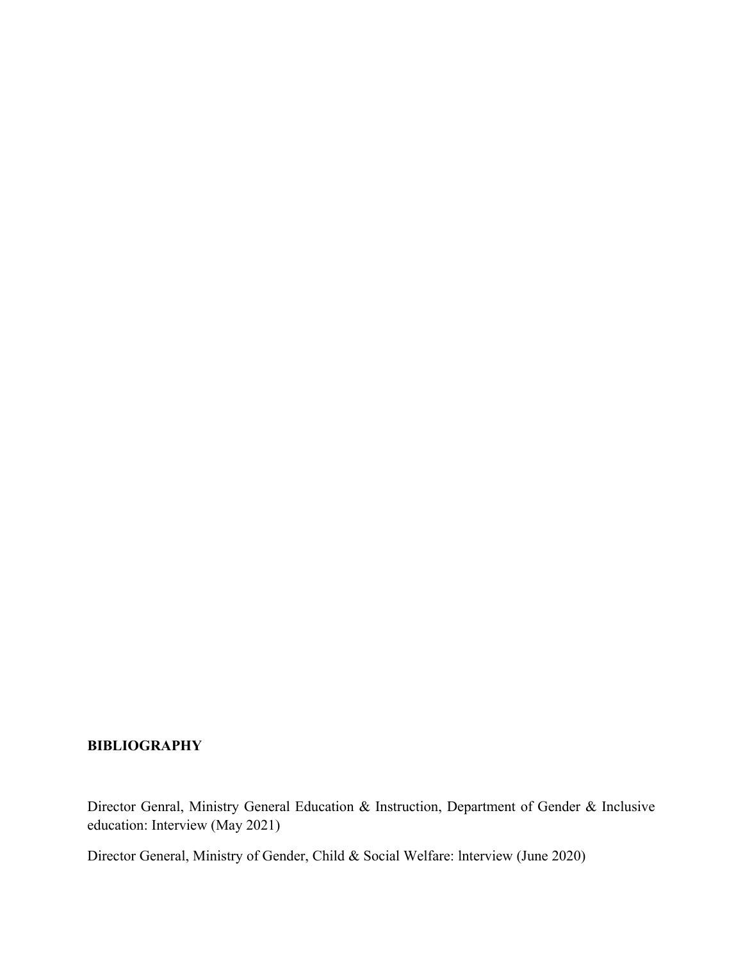## **BIBLIOGRAPHY**

Director Genral, Ministry General Education & Instruction, Department of Gender & Inclusive education: Interview (May 2021)

Director General, Ministry of Gender, Child & Social Welfare: lnterview (June 2020)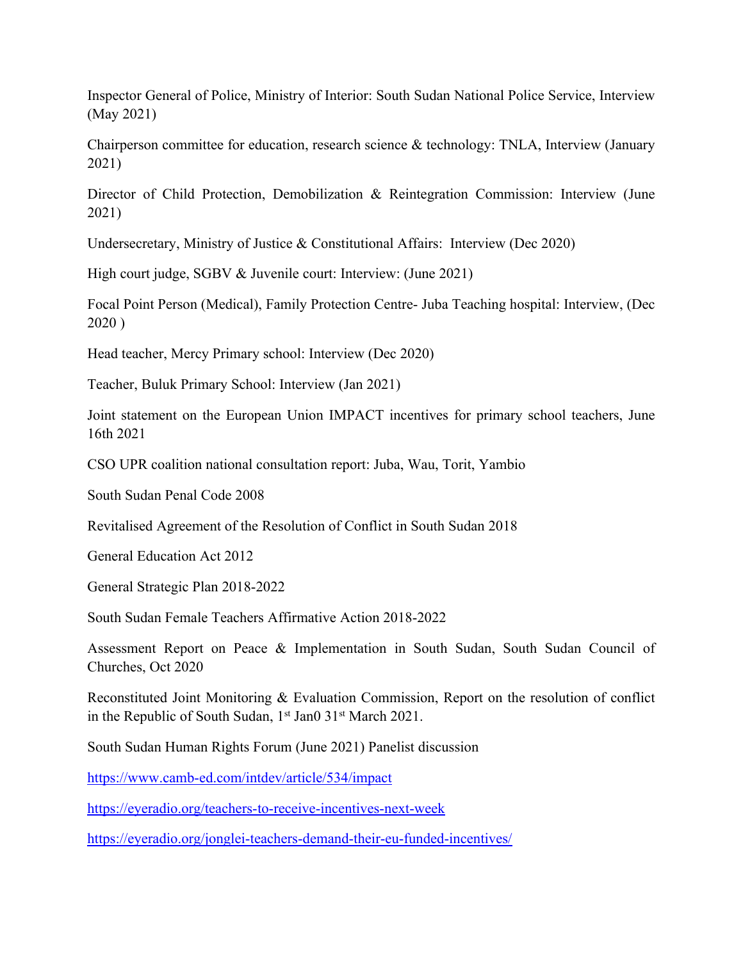Inspector General of Police, Ministry of Interior: South Sudan National Police Service, Interview (May 2021)

Chairperson committee for education, research science & technology: TNLA, Interview (January 2021)

Director of Child Protection, Demobilization & Reintegration Commission: Interview (June 2021)

Undersecretary, Ministry of Justice & Constitutional Affairs: Interview (Dec 2020)

High court judge, SGBV & Juvenile court: Interview: (June 2021)

Focal Point Person (Medical), Family Protection Centre- Juba Teaching hospital: Interview, (Dec 2020 )

Head teacher, Mercy Primary school: Interview (Dec 2020)

Teacher, Buluk Primary School: Interview (Jan 2021)

Joint statement on the European Union IMPACT incentives for primary school teachers, June 16th 2021

CSO UPR coalition national consultation report: Juba, Wau, Torit, Yambio

South Sudan Penal Code 2008

Revitalised Agreement of the Resolution of Conflict in South Sudan 2018

General Education Act 2012

General Strategic Plan 2018-2022

South Sudan Female Teachers Affirmative Action 2018-2022

Assessment Report on Peace & Implementation in South Sudan, South Sudan Council of Churches, Oct 2020

Reconstituted Joint Monitoring & Evaluation Commission, Report on the resolution of conflict in the Republic of South Sudan,  $1<sup>st</sup>$  Jan0 31 $<sup>st</sup>$  March 2021.</sup>

South Sudan Human Rights Forum (June 2021) Panelist discussion

<https://www.camb-ed.com/intdev/article/534/impact>

<https://eyeradio.org/teachers-to-receive-incentives-next-week>

<https://eyeradio.org/jonglei-teachers-demand-their-eu-funded-incentives/>